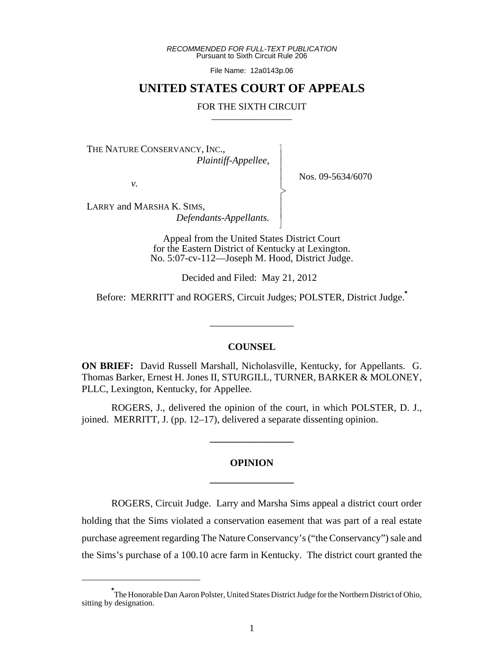*RECOMMENDED FOR FULL-TEXT PUBLICATION* Pursuant to Sixth Circuit Rule 206

File Name: 12a0143p.06

## **UNITED STATES COURT OF APPEALS**

#### FOR THE SIXTH CIRCUIT

 $\overline{\phantom{a}}$ - - - > , - - N

THE NATURE CONSERVANCY, INC.,  *Plaintiff-Appellee,*

*v.*

Nos. 09-5634/6070

LARRY and MARSHA K. SIMS,

 *Defendants-Appellants.*

Appeal from the United States District Court for the Eastern District of Kentucky at Lexington. No. 5:07-cv-112—Joseph M. Hood, District Judge.

Decided and Filed: May 21, 2012

Before: MERRITT and ROGERS, Circuit Judges; POLSTER, District Judge.**\***

\_\_\_\_\_\_\_\_\_\_\_\_\_\_\_\_\_

#### **COUNSEL**

**ON BRIEF:** David Russell Marshall, Nicholasville, Kentucky, for Appellants. G. Thomas Barker, Ernest H. Jones II, STURGILL, TURNER, BARKER & MOLONEY, PLLC, Lexington, Kentucky, for Appellee.

ROGERS, J., delivered the opinion of the court, in which POLSTER, D. J., joined. MERRITT, J. (pp. 12–17), delivered a separate dissenting opinion.

**\_\_\_\_\_\_\_\_\_\_\_\_\_\_\_\_\_**

# **OPINION \_\_\_\_\_\_\_\_\_\_\_\_\_\_\_\_\_**

ROGERS, Circuit Judge. Larry and Marsha Sims appeal a district court order holding that the Sims violated a conservation easement that was part of a real estate purchase agreement regarding The Nature Conservancy's ("the Conservancy") sale and the Sims's purchase of a 100.10 acre farm in Kentucky. The district court granted the

**<sup>\*</sup>** The Honorable Dan Aaron Polster, United States District Judge for the Northern District of Ohio, sitting by designation.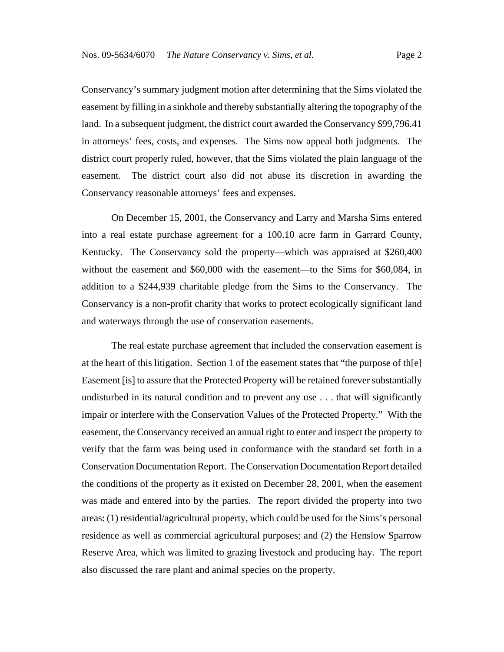Conservancy's summary judgment motion after determining that the Sims violated the easement by filling in a sinkhole and thereby substantially altering the topography of the land. In a subsequent judgment, the district court awarded the Conservancy \$99,796.41 in attorneys' fees, costs, and expenses. The Sims now appeal both judgments. The district court properly ruled, however, that the Sims violated the plain language of the easement. The district court also did not abuse its discretion in awarding the Conservancy reasonable attorneys' fees and expenses.

On December 15, 2001, the Conservancy and Larry and Marsha Sims entered into a real estate purchase agreement for a 100.10 acre farm in Garrard County, Kentucky. The Conservancy sold the property—which was appraised at \$260,400 without the easement and \$60,000 with the easement—to the Sims for \$60,084, in addition to a \$244,939 charitable pledge from the Sims to the Conservancy. The Conservancy is a non-profit charity that works to protect ecologically significant land and waterways through the use of conservation easements.

The real estate purchase agreement that included the conservation easement is at the heart of this litigation. Section 1 of the easement states that "the purpose of the  $[e]$ Easement [is] to assure that the Protected Property will be retained forever substantially undisturbed in its natural condition and to prevent any use . . . that will significantly impair or interfere with the Conservation Values of the Protected Property." With the easement, the Conservancy received an annual right to enter and inspect the property to verify that the farm was being used in conformance with the standard set forth in a Conservation Documentation Report. The Conservation Documentation Report detailed the conditions of the property as it existed on December 28, 2001, when the easement was made and entered into by the parties. The report divided the property into two areas: (1) residential/agricultural property, which could be used for the Sims's personal residence as well as commercial agricultural purposes; and (2) the Henslow Sparrow Reserve Area, which was limited to grazing livestock and producing hay. The report also discussed the rare plant and animal species on the property.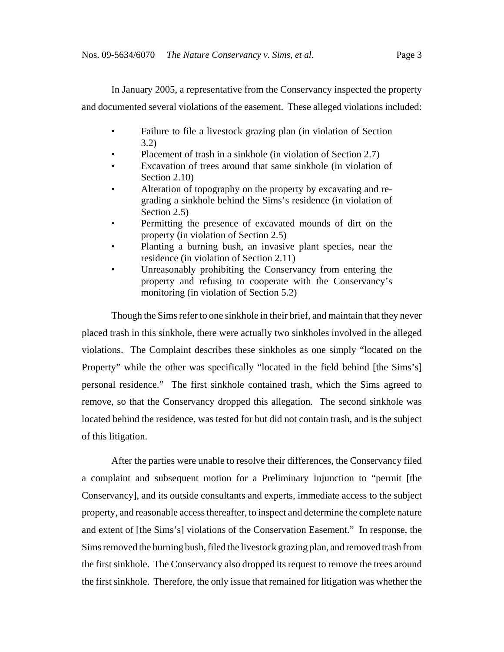In January 2005, a representative from the Conservancy inspected the property and documented several violations of the easement. These alleged violations included:

- Failure to file a livestock grazing plan (in violation of Section 3.2)
- Placement of trash in a sinkhole (in violation of Section 2.7)
- Excavation of trees around that same sinkhole (in violation of Section 2.10)
- Alteration of topography on the property by excavating and regrading a sinkhole behind the Sims's residence (in violation of Section 2.5)
- Permitting the presence of excavated mounds of dirt on the property (in violation of Section 2.5)
- Planting a burning bush, an invasive plant species, near the residence (in violation of Section 2.11)
- Unreasonably prohibiting the Conservancy from entering the property and refusing to cooperate with the Conservancy's monitoring (in violation of Section 5.2)

Though the Sims refer to one sinkhole in their brief, and maintain that they never placed trash in this sinkhole, there were actually two sinkholes involved in the alleged violations. The Complaint describes these sinkholes as one simply "located on the Property" while the other was specifically "located in the field behind [the Sims's] personal residence." The first sinkhole contained trash, which the Sims agreed to remove, so that the Conservancy dropped this allegation. The second sinkhole was located behind the residence, was tested for but did not contain trash, and is the subject of this litigation.

After the parties were unable to resolve their differences, the Conservancy filed a complaint and subsequent motion for a Preliminary Injunction to "permit [the Conservancy], and its outside consultants and experts, immediate access to the subject property, and reasonable access thereafter, to inspect and determine the complete nature and extent of [the Sims's] violations of the Conservation Easement." In response, the Sims removed the burning bush, filed the livestock grazing plan, and removed trash from the first sinkhole. The Conservancy also dropped its request to remove the trees around the first sinkhole. Therefore, the only issue that remained for litigation was whether the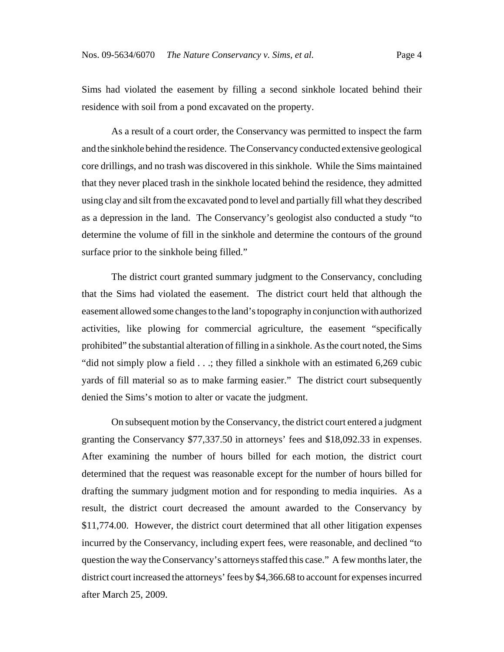Sims had violated the easement by filling a second sinkhole located behind their residence with soil from a pond excavated on the property.

As a result of a court order, the Conservancy was permitted to inspect the farm and the sinkhole behind the residence. The Conservancy conducted extensive geological core drillings, and no trash was discovered in this sinkhole. While the Sims maintained that they never placed trash in the sinkhole located behind the residence, they admitted using clay and silt from the excavated pond to level and partially fill what they described as a depression in the land. The Conservancy's geologist also conducted a study "to determine the volume of fill in the sinkhole and determine the contours of the ground surface prior to the sinkhole being filled."

The district court granted summary judgment to the Conservancy, concluding that the Sims had violated the easement. The district court held that although the easement allowed some changes to the land's topography in conjunction with authorized activities, like plowing for commercial agriculture, the easement "specifically prohibited" the substantial alteration of filling in a sinkhole. As the court noted, the Sims "did not simply plow a field . . .; they filled a sinkhole with an estimated 6,269 cubic yards of fill material so as to make farming easier." The district court subsequently denied the Sims's motion to alter or vacate the judgment.

On subsequent motion by the Conservancy, the district court entered a judgment granting the Conservancy \$77,337.50 in attorneys' fees and \$18,092.33 in expenses. After examining the number of hours billed for each motion, the district court determined that the request was reasonable except for the number of hours billed for drafting the summary judgment motion and for responding to media inquiries. As a result, the district court decreased the amount awarded to the Conservancy by \$11,774.00. However, the district court determined that all other litigation expenses incurred by the Conservancy, including expert fees, were reasonable, and declined "to question the way the Conservancy's attorneys staffed this case." A few months later, the district court increased the attorneys' fees by \$4,366.68 to account for expenses incurred after March 25, 2009.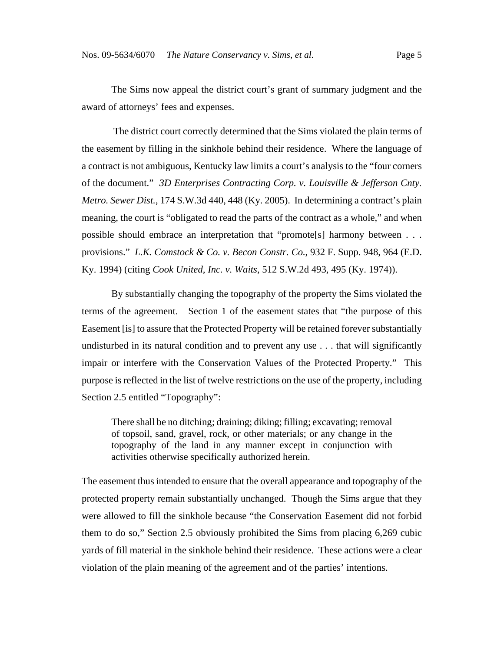The Sims now appeal the district court's grant of summary judgment and the award of attorneys' fees and expenses.

 The district court correctly determined that the Sims violated the plain terms of the easement by filling in the sinkhole behind their residence. Where the language of a contract is not ambiguous, Kentucky law limits a court's analysis to the "four corners of the document." *3D Enterprises Contracting Corp. v. Louisville & Jefferson Cnty. Metro. Sewer Dist.*, 174 S.W.3d 440, 448 (Ky. 2005). In determining a contract's plain meaning, the court is "obligated to read the parts of the contract as a whole," and when possible should embrace an interpretation that "promote[s] harmony between . . . provisions." *L.K. Comstock & Co. v. Becon Constr. Co.*, 932 F. Supp. 948, 964 (E.D. Ky. 1994) (citing *Cook United, Inc. v. Waits*, 512 S.W.2d 493, 495 (Ky. 1974)).

By substantially changing the topography of the property the Sims violated the terms of the agreement. Section 1 of the easement states that "the purpose of this Easement [is] to assure that the Protected Property will be retained forever substantially undisturbed in its natural condition and to prevent any use . . . that will significantly impair or interfere with the Conservation Values of the Protected Property." This purpose is reflected in the list of twelve restrictions on the use of the property, including Section 2.5 entitled "Topography":

There shall be no ditching; draining; diking; filling; excavating; removal of topsoil, sand, gravel, rock, or other materials; or any change in the topography of the land in any manner except in conjunction with activities otherwise specifically authorized herein.

The easement thus intended to ensure that the overall appearance and topography of the protected property remain substantially unchanged. Though the Sims argue that they were allowed to fill the sinkhole because "the Conservation Easement did not forbid them to do so," Section 2.5 obviously prohibited the Sims from placing 6,269 cubic yards of fill material in the sinkhole behind their residence. These actions were a clear violation of the plain meaning of the agreement and of the parties' intentions.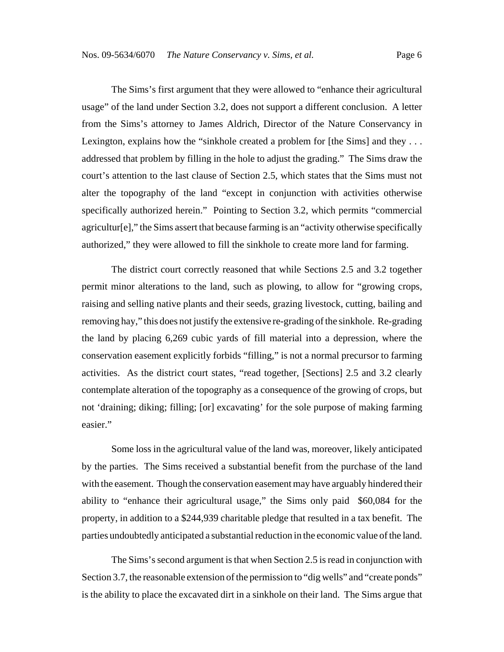The Sims's first argument that they were allowed to "enhance their agricultural usage" of the land under Section 3.2, does not support a different conclusion. A letter from the Sims's attorney to James Aldrich, Director of the Nature Conservancy in Lexington, explains how the "sinkhole created a problem for [the Sims] and they ... addressed that problem by filling in the hole to adjust the grading." The Sims draw the court's attention to the last clause of Section 2.5, which states that the Sims must not alter the topography of the land "except in conjunction with activities otherwise specifically authorized herein." Pointing to Section 3.2, which permits "commercial agricultur[e]," the Sims assert that because farming is an "activity otherwise specifically authorized," they were allowed to fill the sinkhole to create more land for farming.

The district court correctly reasoned that while Sections 2.5 and 3.2 together permit minor alterations to the land, such as plowing, to allow for "growing crops, raising and selling native plants and their seeds, grazing livestock, cutting, bailing and removing hay," this does not justify the extensive re-grading of the sinkhole. Re-grading the land by placing 6,269 cubic yards of fill material into a depression, where the conservation easement explicitly forbids "filling," is not a normal precursor to farming activities. As the district court states, "read together, [Sections] 2.5 and 3.2 clearly contemplate alteration of the topography as a consequence of the growing of crops, but not 'draining; diking; filling; [or] excavating' for the sole purpose of making farming easier."

Some loss in the agricultural value of the land was, moreover, likely anticipated by the parties. The Sims received a substantial benefit from the purchase of the land with the easement. Though the conservation easement may have arguably hindered their ability to "enhance their agricultural usage," the Sims only paid \$60,084 for the property, in addition to a \$244,939 charitable pledge that resulted in a tax benefit. The parties undoubtedly anticipated a substantial reduction in the economic value of the land.

The Sims's second argument is that when Section 2.5 is read in conjunction with Section 3.7, the reasonable extension of the permission to "dig wells" and "create ponds" is the ability to place the excavated dirt in a sinkhole on their land. The Sims argue that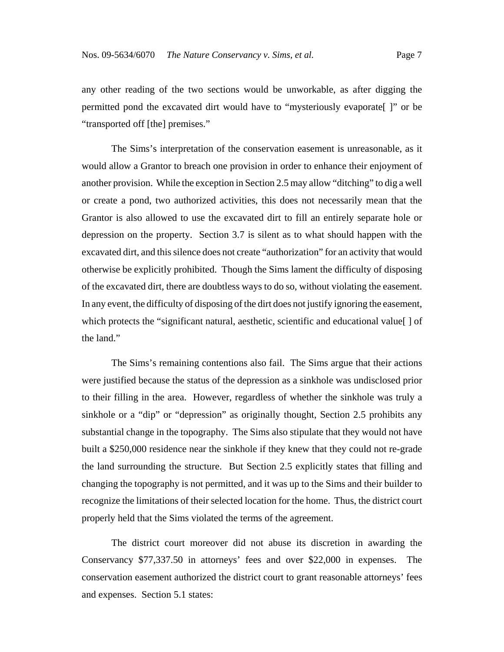any other reading of the two sections would be unworkable, as after digging the permitted pond the excavated dirt would have to "mysteriously evaporate[ ]" or be "transported off [the] premises."

The Sims's interpretation of the conservation easement is unreasonable, as it would allow a Grantor to breach one provision in order to enhance their enjoyment of another provision. While the exception in Section 2.5 may allow "ditching" to dig a well or create a pond, two authorized activities, this does not necessarily mean that the Grantor is also allowed to use the excavated dirt to fill an entirely separate hole or depression on the property. Section 3.7 is silent as to what should happen with the excavated dirt, and this silence does not create "authorization" for an activity that would otherwise be explicitly prohibited. Though the Sims lament the difficulty of disposing of the excavated dirt, there are doubtless ways to do so, without violating the easement. In any event, the difficulty of disposing of the dirt does not justify ignoring the easement, which protects the "significant natural, aesthetic, scientific and educational value[ ] of the land."

The Sims's remaining contentions also fail. The Sims argue that their actions were justified because the status of the depression as a sinkhole was undisclosed prior to their filling in the area. However, regardless of whether the sinkhole was truly a sinkhole or a "dip" or "depression" as originally thought, Section 2.5 prohibits any substantial change in the topography. The Sims also stipulate that they would not have built a \$250,000 residence near the sinkhole if they knew that they could not re-grade the land surrounding the structure. But Section 2.5 explicitly states that filling and changing the topography is not permitted, and it was up to the Sims and their builder to recognize the limitations of their selected location for the home. Thus, the district court properly held that the Sims violated the terms of the agreement.

The district court moreover did not abuse its discretion in awarding the Conservancy \$77,337.50 in attorneys' fees and over \$22,000 in expenses. The conservation easement authorized the district court to grant reasonable attorneys' fees and expenses. Section 5.1 states: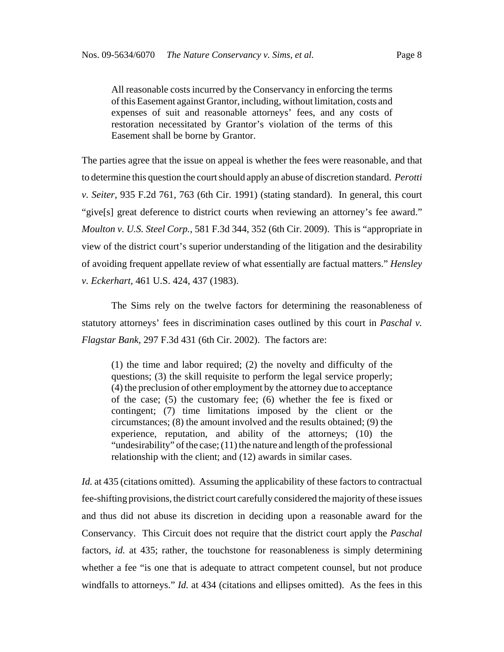All reasonable costs incurred by the Conservancy in enforcing the terms of this Easement against Grantor, including, without limitation, costs and expenses of suit and reasonable attorneys' fees, and any costs of restoration necessitated by Grantor's violation of the terms of this Easement shall be borne by Grantor.

The parties agree that the issue on appeal is whether the fees were reasonable, and that to determine this question the court should apply an abuse of discretion standard. *Perotti v. Seiter*, 935 F.2d 761, 763 (6th Cir. 1991) (stating standard). In general, this court "give[s] great deference to district courts when reviewing an attorney's fee award." *Moulton v. U.S. Steel Corp.*, 581 F.3d 344, 352 (6th Cir. 2009). This is "appropriate in view of the district court's superior understanding of the litigation and the desirability of avoiding frequent appellate review of what essentially are factual matters." *Hensley v. Eckerhart,* 461 U.S. 424, 437 (1983).

The Sims rely on the twelve factors for determining the reasonableness of statutory attorneys' fees in discrimination cases outlined by this court in *Paschal v. Flagstar Bank*, 297 F.3d 431 (6th Cir. 2002). The factors are:

(1) the time and labor required; (2) the novelty and difficulty of the questions; (3) the skill requisite to perform the legal service properly; (4) the preclusion of other employment by the attorney due to acceptance of the case; (5) the customary fee; (6) whether the fee is fixed or contingent; (7) time limitations imposed by the client or the circumstances; (8) the amount involved and the results obtained; (9) the experience, reputation, and ability of the attorneys; (10) the "undesirability" of the case; (11) the nature and length of the professional relationship with the client; and (12) awards in similar cases.

*Id.* at 435 (citations omitted). Assuming the applicability of these factors to contractual fee-shifting provisions, the district court carefully considered the majority of these issues and thus did not abuse its discretion in deciding upon a reasonable award for the Conservancy. This Circuit does not require that the district court apply the *Paschal* factors, *id.* at 435; rather, the touchstone for reasonableness is simply determining whether a fee "is one that is adequate to attract competent counsel, but not produce windfalls to attorneys." *Id.* at 434 (citations and ellipses omitted). As the fees in this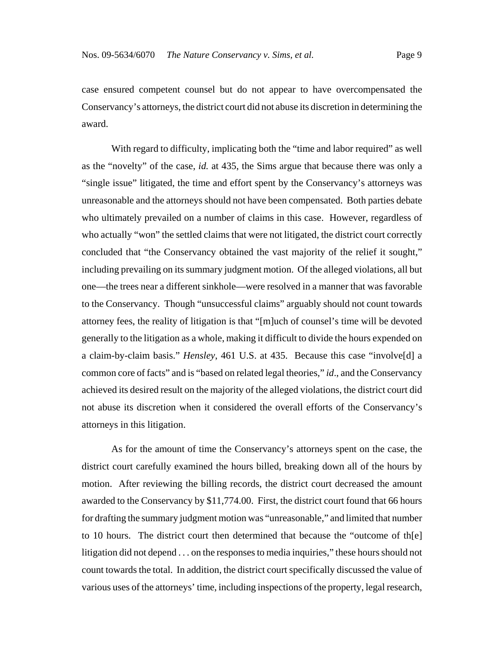case ensured competent counsel but do not appear to have overcompensated the Conservancy's attorneys, the district court did not abuse its discretion in determining the award.

With regard to difficulty, implicating both the "time and labor required" as well as the "novelty" of the case, *id.* at 435, the Sims argue that because there was only a "single issue" litigated, the time and effort spent by the Conservancy's attorneys was unreasonable and the attorneys should not have been compensated. Both parties debate who ultimately prevailed on a number of claims in this case. However, regardless of who actually "won" the settled claims that were not litigated, the district court correctly concluded that "the Conservancy obtained the vast majority of the relief it sought," including prevailing on its summary judgment motion. Of the alleged violations, all but one—the trees near a different sinkhole—were resolved in a manner that was favorable to the Conservancy. Though "unsuccessful claims" arguably should not count towards attorney fees, the reality of litigation is that "[m]uch of counsel's time will be devoted generally to the litigation as a whole, making it difficult to divide the hours expended on a claim-by-claim basis." *Hensley*, 461 U.S. at 435. Because this case "involve[d] a common core of facts" and is "based on related legal theories," *id*., and the Conservancy achieved its desired result on the majority of the alleged violations, the district court did not abuse its discretion when it considered the overall efforts of the Conservancy's attorneys in this litigation.

As for the amount of time the Conservancy's attorneys spent on the case, the district court carefully examined the hours billed, breaking down all of the hours by motion. After reviewing the billing records, the district court decreased the amount awarded to the Conservancy by \$11,774.00. First, the district court found that 66 hours for drafting the summary judgment motion was "unreasonable," and limited that number to 10 hours. The district court then determined that because the "outcome of th[e] litigation did not depend . . . on the responses to media inquiries," these hours should not count towards the total. In addition, the district court specifically discussed the value of various uses of the attorneys' time, including inspections of the property, legal research,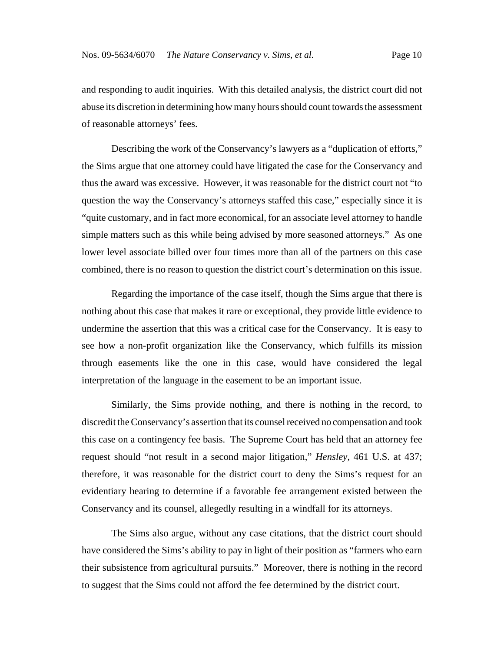and responding to audit inquiries. With this detailed analysis, the district court did not abuse its discretion in determining how many hours should count towards the assessment of reasonable attorneys' fees.

Describing the work of the Conservancy's lawyers as a "duplication of efforts," the Sims argue that one attorney could have litigated the case for the Conservancy and thus the award was excessive. However, it was reasonable for the district court not "to question the way the Conservancy's attorneys staffed this case," especially since it is "quite customary, and in fact more economical, for an associate level attorney to handle simple matters such as this while being advised by more seasoned attorneys." As one lower level associate billed over four times more than all of the partners on this case combined, there is no reason to question the district court's determination on this issue.

Regarding the importance of the case itself, though the Sims argue that there is nothing about this case that makes it rare or exceptional, they provide little evidence to undermine the assertion that this was a critical case for the Conservancy. It is easy to see how a non-profit organization like the Conservancy, which fulfills its mission through easements like the one in this case, would have considered the legal interpretation of the language in the easement to be an important issue.

Similarly, the Sims provide nothing, and there is nothing in the record, to discredit the Conservancy's assertion that its counsel received no compensation and took this case on a contingency fee basis.The Supreme Court has held that an attorney fee request should "not result in a second major litigation," *Hensley*, 461 U.S. at 437; therefore, it was reasonable for the district court to deny the Sims's request for an evidentiary hearing to determine if a favorable fee arrangement existed between the Conservancy and its counsel, allegedly resulting in a windfall for its attorneys.

The Sims also argue, without any case citations, that the district court should have considered the Sims's ability to pay in light of their position as "farmers who earn their subsistence from agricultural pursuits." Moreover, there is nothing in the record to suggest that the Sims could not afford the fee determined by the district court.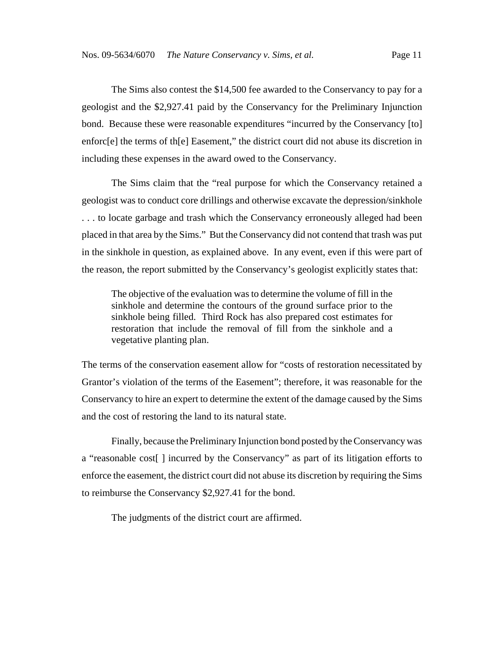The Sims also contest the \$14,500 fee awarded to the Conservancy to pay for a geologist and the \$2,927.41 paid by the Conservancy for the Preliminary Injunction bond. Because these were reasonable expenditures "incurred by the Conservancy [to] enforc[e] the terms of th[e] Easement," the district court did not abuse its discretion in including these expenses in the award owed to the Conservancy.

The Sims claim that the "real purpose for which the Conservancy retained a geologist was to conduct core drillings and otherwise excavate the depression/sinkhole . . . to locate garbage and trash which the Conservancy erroneously alleged had been placed in that area by the Sims." But the Conservancy did not contend that trash was put in the sinkhole in question, as explained above. In any event, even if this were part of the reason, the report submitted by the Conservancy's geologist explicitly states that:

The objective of the evaluation was to determine the volume of fill in the sinkhole and determine the contours of the ground surface prior to the sinkhole being filled. Third Rock has also prepared cost estimates for restoration that include the removal of fill from the sinkhole and a vegetative planting plan.

The terms of the conservation easement allow for "costs of restoration necessitated by Grantor's violation of the terms of the Easement"; therefore, it was reasonable for the Conservancy to hire an expert to determine the extent of the damage caused by the Sims and the cost of restoring the land to its natural state.

Finally, because the Preliminary Injunction bond posted by the Conservancy was a "reasonable cost[ ] incurred by the Conservancy" as part of its litigation efforts to enforce the easement, the district court did not abuse its discretion by requiring the Sims to reimburse the Conservancy \$2,927.41 for the bond.

The judgments of the district court are affirmed.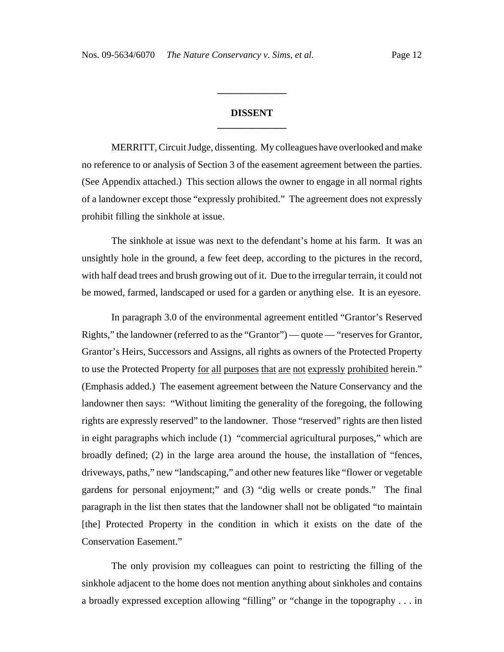### **DISSENT \_\_\_\_\_\_\_\_\_\_\_\_\_\_**

**\_\_\_\_\_\_\_\_\_\_\_\_\_\_**

MERRITT, Circuit Judge, dissenting. My colleagues have overlooked and make no reference to or analysis of Section 3 of the easement agreement between the parties. (See Appendix attached.) This section allows the owner to engage in all normal rights of a landowner except those "expressly prohibited." The agreement does not expressly prohibit filling the sinkhole at issue.

The sinkhole at issue was next to the defendant's home at his farm. It was an unsightly hole in the ground, a few feet deep, according to the pictures in the record, with half dead trees and brush growing out of it. Due to the irregular terrain, it could not be mowed, farmed, landscaped or used for a garden or anything else. It is an eyesore.

In paragraph 3.0 of the environmental agreement entitled "Grantor's Reserved Rights," the landowner (referred to as the "Grantor") — quote — "reserves for Grantor, Grantor's Heirs, Successors and Assigns, all rights as owners of the Protected Property to use the Protected Property <u>for all purposes that are not expressly prohibited</u> herein." (Emphasis added.) The easement agreement between the Nature Conservancy and the landowner then says: "Without limiting the generality of the foregoing, the following rights are expressly reserved" to the landowner. Those "reserved" rights are then listed in eight paragraphs which include (1) "commercial agricultural purposes," which are broadly defined; (2) in the large area around the house, the installation of "fences, driveways, paths," new "landscaping," and other new features like "flower or vegetable gardens for personal enjoyment;" and (3) "dig wells or create ponds." The final paragraph in the list then states that the landowner shall not be obligated "to maintain [the] Protected Property in the condition in which it exists on the date of the Conservation Easement."

The only provision my colleagues can point to restricting the filling of the sinkhole adjacent to the home does not mention anything about sinkholes and contains a broadly expressed exception allowing "filling" or "change in the topography . . . in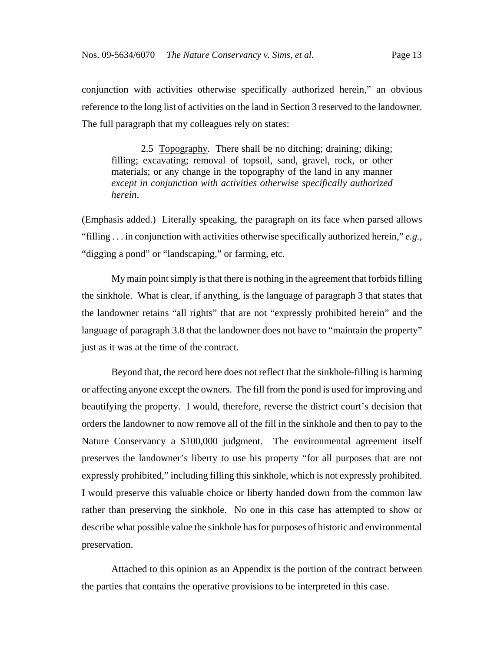conjunction with activities otherwise specifically authorized herein," an obvious reference to the long list of activities on the land in Section 3 reserved to the landowner. The full paragraph that my colleagues rely on states:

2.5 Topography. There shall be no ditching; draining; diking; filling; excavating; removal of topsoil, sand, gravel, rock, or other materials; or any change in the topography of the land in any manner *except in conjunction with activities otherwise specifically authorized herein*.

(Emphasis added.) Literally speaking, the paragraph on its face when parsed allows "filling . . . in conjunction with activities otherwise specifically authorized herein," *e.g.*, "digging a pond" or "landscaping," or farming, etc.

My main point simply is that there is nothing in the agreement that forbids filling the sinkhole. What is clear, if anything, is the language of paragraph 3 that states that the landowner retains "all rights" that are not "expressly prohibited herein" and the language of paragraph 3.8 that the landowner does not have to "maintain the property" just as it was at the time of the contract.

Beyond that, the record here does not reflect that the sinkhole-filling is harming or affecting anyone except the owners. The fill from the pond is used for improving and beautifying the property. I would, therefore, reverse the district court's decision that orders the landowner to now remove all of the fill in the sinkhole and then to pay to the Nature Conservancy a \$100,000 judgment. The environmental agreement itself preserves the landowner's liberty to use his property "for all purposes that are not expressly prohibited," including filling this sinkhole, which is not expressly prohibited. I would preserve this valuable choice or liberty handed down from the common law rather than preserving the sinkhole. No one in this case has attempted to show or describe what possible value the sinkhole has for purposes of historic and environmental preservation.

Attached to this opinion as an Appendix is the portion of the contract between the parties that contains the operative provisions to be interpreted in this case.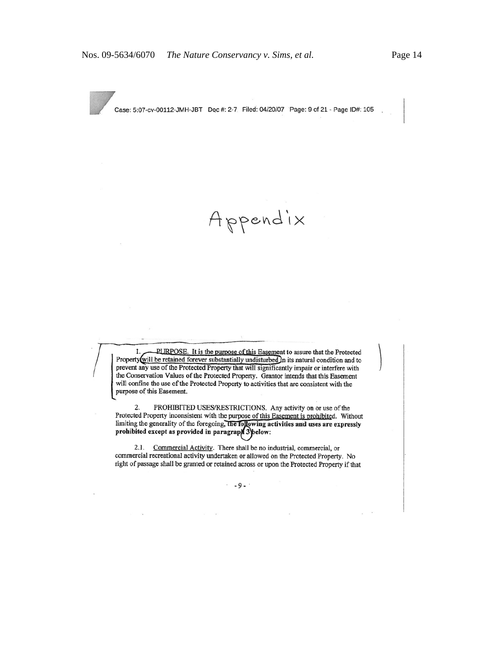

Case: 5:07-cv-00112-JMH-JBT Doc #: 2-7 Filed: 04/20/07 Page: 9 of 21 - Page ID#: 105

Appendix

1. PURPOSE. It is the purpose of this Easement to assure that the Protected Property will be retained forever substantially undisturbed in its natural condition and to prevent any use of the Protected Property that will significantly impair or interfere with the Conservation Values of the Protected Property. Grantor intends that this Easement will confine the use of the Protected Property to activities that are consistent with the purpose of this Easement.

PROHIBITED USES/RESTRICTIONS. Any activity on or use of the 2. Protected Property inconsistent with the purpose of this Easement is prohibited. Without limiting the generality of the foregoing, the following activities and uses are expressly prohibited except as provided in paragraph 3 below:

2.1. Commercial Activity. There shall be no industrial, commercial, or commercial recreational activity undertaken or allowed on the Protected Property. No right of passage shall be granted or retained across or upon the Protected Property if that

 $\cdot$  -9. $\cdot$ 

 $\alpha$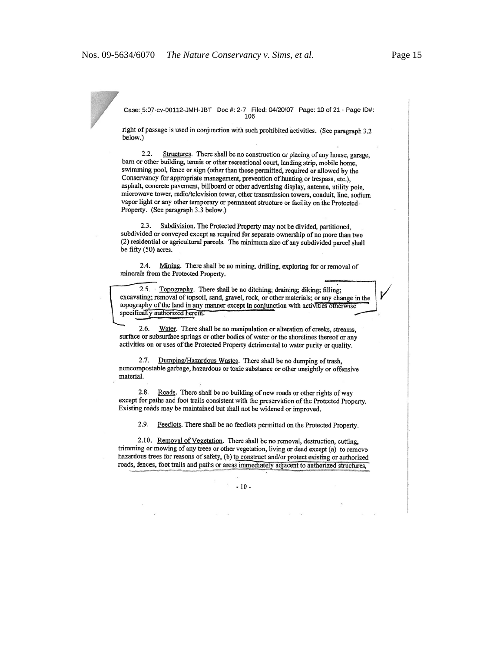Case: 5:07-cv-00112-JMH-JBT Doc #: 2-7 Filed: 04/20/07 Page: 10 of 21 - Page ID#:

right of passage is used in conjunction with such prohibited activities. (See paragraph 3.2 below.)

 $2.2.$ Structures. There shall be no construction or placing of any house, garage, barn or other building, tennis or other recreational court, landing strip, mobile home, swimming pool, fence or sign (other than those permitted, required or allowed by the Conservancy for appropriate management, prevention of hunting or trespass, etc.), asphalt, concrete pavement, billboard or other advertising display, antenna, utility pole, microwave tower, radio/television tower, other transmission towers, conduit, line, sodium vapor light or any other temporary or permanent structure or facility on the Protected Property. (See paragraph 3.3 below.)

2.3. Subdivision. The Protected Property may not be divided, partitioned, subdivided or conveyed except as required for separate ownership of no more than two (2) residential or agricultural parcels. The minimum size of any subdivided parcel shall be fifty (50) acres.

2.4. Mining. There shall be no mining, drilling, exploring for or removal of minerals from the Protected Property.

2.5. Topography. There shall be no ditching; draining; diking; filling; excavating; removal of topsoil, sand, gravel, rock, or other materials; or any change in the topography of the land in any manner except in conjunction with activities otherwise specifically authorized herein.

2.6. Water. There shall be no manipulation or alteration of creeks, streams, surface or subsurface springs or other bodies of water or the shorelines thereof or any activities on or uses of the Protected Property detrimental to water purity or quality.

2.7. Dumping/Hazardous Wastes. There shall be no dumping of trash, noncompostable garbage, hazardous or toxic substance or other unsightly or offensive material.

2.8. Roads. There shall be no building of new roads or other rights of way except for paths and foot trails consistent with the preservation of the Protected Property. Existing roads may be maintained but shall not be widened or improved.

2.9. Feedlots. There shall be no feedlots permitted on the Protected Property.

2.10. Removal of Vegetation. There shall be no removal, destruction, cutting, trimming or mowing of any trees or other vegetation, living or dead except (a) to remove hazardous trees for reasons of safety, (b) to construct and/or protect existing or authorized roads, fences, foot trails and paths or areas immediately adjacent to authorized structures,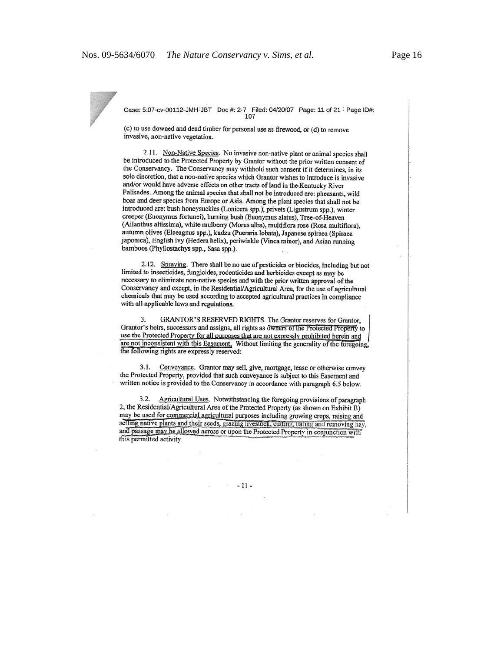Case: 5:07-cv-00112-JMH-JBT Doc #: 2-7 Filed: 04/20/07 Page: 11 of 21 - Page ID#: 107

(c) to use downed and dead timber for personal use as firewood, or (d) to remove invasive, non-native vegetation.

2.11. Non-Native Species. No invasive non-native plant or animal species shall be introduced to the Protected Property by Grantor without the prior written consent of the Conservancy. The Conservancy may withhold such consent if it determines, in its sole discretion, that a non-native species which Grantor wishes to introduce is invasive and/or would have adverse effects on other tracts of land in the Kentucky River Palisades. Among the animal species that shall not be introduced are: pheasants, wild boar and deer species from Europe or Asia. Among the plant species that shall not be introduced are: bush honeysuckles (Lonicera spp.), privets (Ligustrum spp.), winter creeper (Euonymus fortunei), burning bush (Euonymus alatus), Tree-of-Heaven (Ailanthus altissima), white mulberry (Morus alba), multiflora rose (Rosa multiflora), autumn olives (Elaeagnus spp.), kudzu (Pueraria lobata), Japanese spiraea (Spiraea japonica), English ivy (Hedera helix), periwinkle (Vinca minor), and Asian running bamboos (Phyllostachys spp., Sasa spp.).

2.12. Spraying. There shall be no use of pesticides or biocides, including but not limited to insecticides, fungicides, rodenticides and herbicides except as may be necessary to eliminate non-native species and with the prior written approval of the Conservancy and except, in the Residential/Agricultural Area, for the use of agricultural chemicals that may be used according to accepted agricultural practices in compliance with all applicable laws and regulations.

GRANTOR'S RESERVED RIGHTS. The Grantor reserves for Grantor, 3. Grantor's heirs, successors and assigns, all rights as owners of the Protected Property to use the Protected Property for all purposes that are not expressly prohibited herein and are not inconsistent with this Easement. Without limiting the generality of the foregoing, the following rights are expressly reserved:

3.1. Conveyance. Grantor may sell, give, mortgage, lease or otherwise convey the Protected Property, provided that such conveyance is subject to this Easement and written notice is provided to the Conservancy in accordance with paragraph 6.5 below.

3.2. Agricultural Uses. Notwithstanding the foregoing provisions of paragraph 2, the Residential/Agricultural Area of the Protected Property (as shown on Exhibit B) may be used for commercial agricultural purposes including growing crops, raising and selling native plants and their seeds, grazing livestock, cutting, baling and removing hay, and passage may be allowed across or upon the Protected Property in conjunction with this permitted activity.